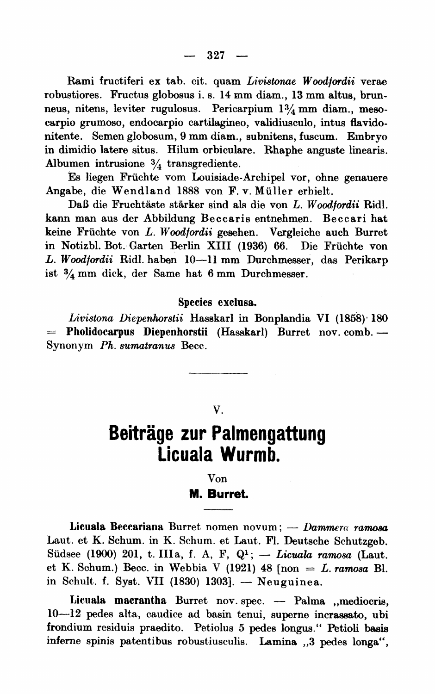**Rami fructiferi ex tab. cit. quam Livistonae Woodjordii verae robustiores. Fructus globosus i. s. 14 mm diam., 13 mm altus, brunneus, nitens, leviter rugulosus. Pericarpium 13/4 mm diam., mesocarpio grumoso, endocarpio cartilagineo, validiusculo, intus flavidonitente. Semen globosum, 9 mm diam., subnitens, fuscum. Embryo in dimidio latere situs. Hilum orbiculare. Rhaphe anguste linearis. Albumen intrusione 3/4 transgrediente.** 

**Es liegen Fruchte vom Louisiade-Archipel vor, ohne genauere Angabe, die Wendland 1888 von F. v. Muller erhielt.** 

Daß die Fruchtäste stärker sind als die von L. Woodfordii Ridl. **kann man aus der Abbildung Beccaris entnehmen. Beccari hat keine Fruchte von L. Woodfordii gesehen. Vergleiche auch Burret in Notizbl. Bot. Garten Berlin XIII (1936) 66. Die Fruchte von L. Woodfordii Ridl. haben 10-11 mm Durchmesser, das Perikarp ist 3/4 mm dick, der Same hat 6 mm Durchmesser.** 

## **Species exelusa.**

Livistona Diepenhorstii Hasskarl in Bonplandia VI (1858)<sup>.</sup> 180 **- Pholidocarpus Diepenhorstii (Hasskarl) Burret nov. comb. - Synonym Ph. sumatranus Becc.** 

## **V.**

## **Beitrage zur Palmengattung Licuala Wurmb.**

## **Von M.** Burret.

Licuala Beccariana Burret nomen novum; — Dammera ramosa **Laut. et K. Schum. in K. Schum. et Laut. Fl. Deutsche Schutzgeb.**  Südsee (1900) 201, t. IIIa, f. A, F, Q<sup>1</sup>; - *Licuala ramosa* (Laut. et K. Schum.) Becc. in Webbia V  $(1921)$  48  $[non = L.$  *ramosa* Bl. **in Schult. f. Syst. VII (1830) 1303]. - Neuguinea.** 

Licuala macrantha Burret nov. spec. - Palma , mediocris, **10-12 pedes alta, caudice ad basin tenui, superne incrasato, ubi frondium residuis praedito. Petiolus 5 pedes longus." Petioli basis inferne spinis patentibus robustiusculis. Lamina ,,3 pedes longa",**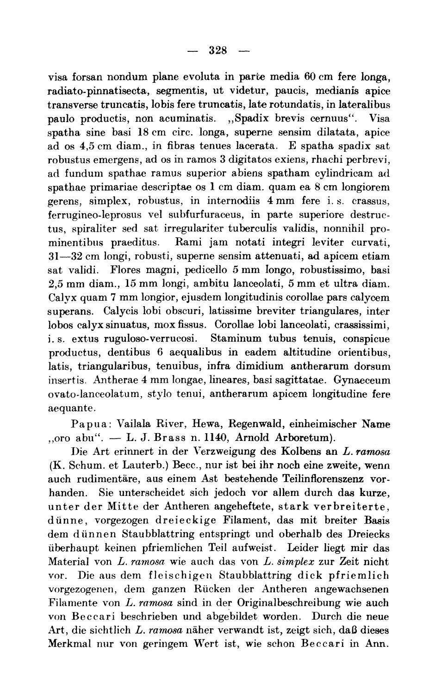**visa forsan nondum plane evoluta in parte media 60 cm fere longa, radiato-pinnatisecta, segmeritis, ut videtur, paucis, medianis apice transverse truncatis, lobis fere truncatis, late rotundatis, in lateralibus paulo productis, non acuminatis. ,,Spadix brevis cernuus". Visa spatha sine basi 18 cm circ. longa, superne sensim dilatata, apice ad os 4,5 cm diam., in fibras tenues lacerata. E spatha spadix sat robustus emergens, ad os in ramos 3 digitatos exiens, rhachi perbrevi,**  ad fundum spathae ramus superior abiens spatham cylindricam ad **spathae primariae descriptae os 1 cm diam. quam ea 8 cm longioren**  gerens, simplex, robustus, in internodiis 4 mm fere i.s. crassus, **ferrugineo-leprosus vel subfurfuraceus, in parte superiore destruetus, spiraliter sed sat irregulariter tuberculis validis, nonnihil prominentibus praeditus. Rami jam notati integri leviter curvati, 31-32 cm longi, robusti, superne sensim attenuati, ad apicem etiam sat validi. Flores magni, pedicello 5 mm longo, robustissimo, basi 2,5 mm diam., 15 mm longi, ambitu lanceolati, 5 mm et ultra diam. Calyx quam 7 mm longior, ejusdem longitudinis corollae pars calycem superans. Calycis lobi obscuri, latissime breviter triangulares, inter lobos calyx sinuatus, mox fissus. Corollae lobi lanceolati, crassissimi,**  Staminum tubus tenuis, conspicue **productus, dentibus 6 aequalibus in eadem altitudine orientibus, latis, triangularibus, tenuibus, infra dimidium antherarum dorsum iiisertis. Antherae 4 mm longae, lineares, basi sagittatae. Gynaeceum ovato-lanceolatum, stylo tenui, antherarum apicem longitudine fere aequante.** 

**Papua: Vailala River, Hewa, Regenwald, einheimischer Name ,,oro abu". - L. J. Brass n. 1140, Arnold Arboretum).** 

**I)ie Art erinnert in der Verzweigung des Kolbens an L. ramosa (K. Schum. et Lauterb.) Becc., nur ist bei ihr noch eine zweite, wenn**  auch rudimentäre, aus einem Ast bestehende Teilinflorenszenz vor**handen. Sie unterscheidet sich jedoch vor allem durch das kurze, unter der Mitte der Antheren angeheftete, stark verbreiterte, diinne, vorgezogen dreieckige Filament, das mit breiter Basis dem diinnen Staubblattring entspringt und oberhalb des Dreiecks uberhaupt keinen pfriemlichen Teil aufweist. Leider liegt mir das Material von L. ramosa wie auch das von L. simplex zur Zeit nicht**  vor. Die aus dem fleischigen Staubblattring dick pfriemlich vorgezogenen, dem ganzen Rücken der Antheren angewachsenen **Filamente von L. ramosa sind in der Originalbeschreibung wie auch**  von Beccari beschrieben und abgebildet worden. Durch die neue **Art, die sichtlich L. ramosa naher verwandt ist, zeigt sich, daB dieses**  Merkmal nur von geringem Wert ist, wie schon Beccari in Ann.